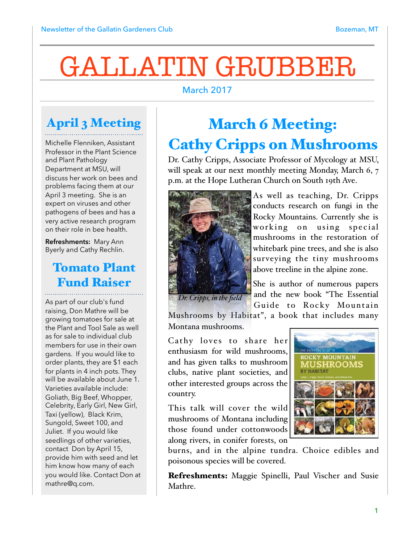# GALLATIN GRUBBER

#### March 2017

## April 3 Meeting

Michelle Flenniken, Assistant Professor in the Plant Science and Plant Pathology Department at MSU, will discuss her work on bees and problems facing them at our April 3 meeting. She is an expert on viruses and other pathogens of bees and has a very active research program on their role in bee health.

**Refreshments:** Mary Ann Byerly and Cathy Rechlin.

### Tomato Plant Fund Raiser

As part of our club's fund raising, Don Mathre will be growing tomatoes for sale at the Plant and Tool Sale as well as for sale to individual club members for use in their own gardens. If you would like to order plants, they are \$1 each for plants in 4 inch pots. They will be available about June 1. Varieties available include: Goliath, Big Beef, Whopper, Celebrity, Early Girl, New Girl, Taxi (yellow), Black Krim, Sungold, Sweet 100, and Juliet. If you would like seedlings of other varieties, contact Don by April 15, provide him with seed and let him know how many of each you would like. Contact Don at mathre@q.com.

## March 6 Meeting: Cathy Cripps on Mushrooms

Dr. Cathy Cripps, Associate Professor of Mycology at MSU, will speak at our next monthly meeting Monday, March 6, 7 p.m. at the Hope Lutheran Church on South 19th Ave.



As well as teaching, Dr. Cripps conducts research on fungi in the Rocky Mountains. Currently she is working on using special mushrooms in the restoration of whitebark pine trees, and she is also surveying the tiny mushrooms above treeline in the alpine zone.

*Dr. Cripps, in the field*

She is author of numerous papers and the new book "The Essential Guide to Rocky Mountain

Mushrooms by Habitat", a book that includes many Montana mushrooms.

Cathy loves to share her enthusiasm for wild mushrooms, and has given talks to mushroom clubs, native plant societies, and other interested groups across the country.

This talk will cover the wild mushrooms of Montana including those found under cottonwoods along rivers, in conifer forests, on



burns, and in the alpine tundra. Choice edibles and poisonous species will be covered.

Refreshments: Maggie Spinelli, Paul Vischer and Susie Mathre.